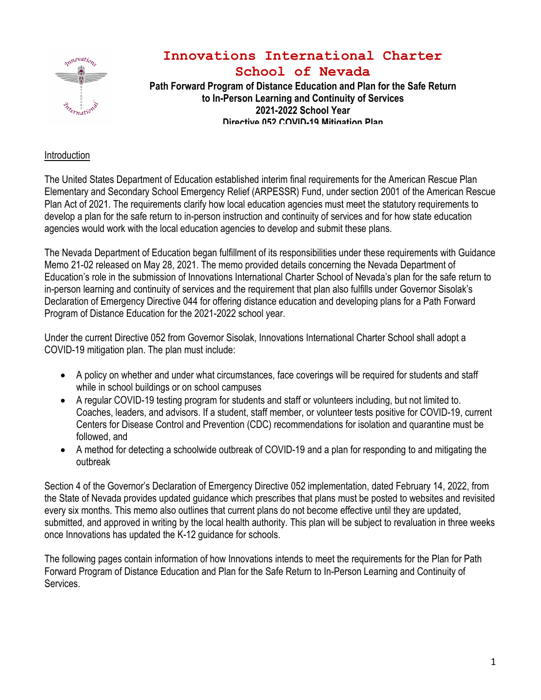

# **Innovations International Charter School of Nevada**

**Path Forward Program of Distance Education and Plan for the Safe Return to In-Person Learning and Continuity of Services 2021-2022 School Year Directive 052 COVID-19 Mitigation Plan**

### Introduction

The United States Department of Education established interim final requirements for the American Rescue Plan Elementary and Secondary School Emergency Relief (ARPESSR) Fund, under section 2001 of the American Rescue Plan Act of 2021. The requirements clarify how local education agencies must meet the statutory requirements to develop a plan for the safe return to in-person instruction and continuity of services and for how state education agencies would work with the local education agencies to develop and submit these plans.

The Nevada Department of Education began fulfillment of its responsibilities under these requirements with Guidance Memo 21-02 released on May 28, 2021. The memo provided details concerning the Nevada Department of Education's role in the submission of Innovations International Charter School of Nevada's plan for the safe return to in-person learning and continuity of services and the requirement that plan also fulfills under Governor Sisolak's Declaration of Emergency Directive 044 for offering distance education and developing plans for a Path Forward Program of Distance Education for the 2021-2022 school year.

Under the current Directive 052 from Governor Sisolak, Innovations International Charter School shall adopt a COVID-19 mitigation plan. The plan must include:

- A policy on whether and under what circumstances, face coverings will be required for students and staff while in school buildings or on school campuses
- A regular COVID-19 testing program for students and staff or volunteers including, but not limited to. Coaches, leaders, and advisors. If a student, staff member, or volunteer tests positive for COVID-19, current Centers for Disease Control and Prevention (CDC) recommendations for isolation and quarantine must be followed, and
- A method for detecting a schoolwide outbreak of COVID-19 and a plan for responding to and mitigating the outbreak

Section 4 of the Governor's Declaration of Emergency Directive 052 implementation, dated February 14, 2022, from the State of Nevada provides updated guidance which prescribes that plans must be posted to websites and revisited every six months. This memo also outlines that current plans do not become effective until they are updated, submitted, and approved in writing by the local health authority. This plan will be subject to revaluation in three weeks once Innovations has updated the K-12 guidance for schools.

The following pages contain information of how Innovations intends to meet the requirements for the Plan for Path Forward Program of Distance Education and Plan for the Safe Return to In-Person Learning and Continuity of Services.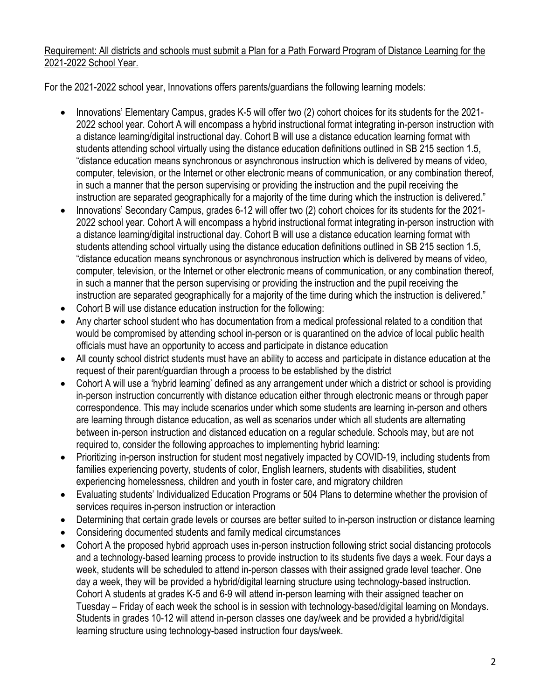## Requirement: All districts and schools must submit a Plan for a Path Forward Program of Distance Learning for the 2021-2022 School Year.

For the 2021-2022 school year, Innovations offers parents/guardians the following learning models:

- Innovations' Elementary Campus, grades K-5 will offer two (2) cohort choices for its students for the 2021- 2022 school year. Cohort A will encompass a hybrid instructional format integrating in-person instruction with a distance learning/digital instructional day. Cohort B will use a distance education learning format with students attending school virtually using the distance education definitions outlined in SB 215 section 1.5, "distance education means synchronous or asynchronous instruction which is delivered by means of video, computer, television, or the Internet or other electronic means of communication, or any combination thereof, in such a manner that the person supervising or providing the instruction and the pupil receiving the instruction are separated geographically for a majority of the time during which the instruction is delivered."
- Innovations' Secondary Campus, grades 6-12 will offer two (2) cohort choices for its students for the 2021- 2022 school year. Cohort A will encompass a hybrid instructional format integrating in-person instruction with a distance learning/digital instructional day. Cohort B will use a distance education learning format with students attending school virtually using the distance education definitions outlined in SB 215 section 1.5, "distance education means synchronous or asynchronous instruction which is delivered by means of video, computer, television, or the Internet or other electronic means of communication, or any combination thereof, in such a manner that the person supervising or providing the instruction and the pupil receiving the instruction are separated geographically for a majority of the time during which the instruction is delivered."
- Cohort B will use distance education instruction for the following:
- Any charter school student who has documentation from a medical professional related to a condition that would be compromised by attending school in-person or is quarantined on the advice of local public health officials must have an opportunity to access and participate in distance education
- All county school district students must have an ability to access and participate in distance education at the request of their parent/guardian through a process to be established by the district
- Cohort A will use a 'hybrid learning' defined as any arrangement under which a district or school is providing in-person instruction concurrently with distance education either through electronic means or through paper correspondence. This may include scenarios under which some students are learning in-person and others are learning through distance education, as well as scenarios under which all students are alternating between in-person instruction and distanced education on a regular schedule. Schools may, but are not required to, consider the following approaches to implementing hybrid learning:
- Prioritizing in-person instruction for student most negatively impacted by COVID-19, including students from families experiencing poverty, students of color, English learners, students with disabilities, student experiencing homelessness, children and youth in foster care, and migratory children
- Evaluating students' Individualized Education Programs or 504 Plans to determine whether the provision of services requires in-person instruction or interaction
- Determining that certain grade levels or courses are better suited to in-person instruction or distance learning
- Considering documented students and family medical circumstances
- Cohort A the proposed hybrid approach uses in-person instruction following strict social distancing protocols and a technology-based learning process to provide instruction to its students five days a week. Four days a week, students will be scheduled to attend in-person classes with their assigned grade level teacher. One day a week, they will be provided a hybrid/digital learning structure using technology-based instruction. Cohort A students at grades K-5 and 6-9 will attend in-person learning with their assigned teacher on Tuesday – Friday of each week the school is in session with technology-based/digital learning on Mondays. Students in grades 10-12 will attend in-person classes one day/week and be provided a hybrid/digital learning structure using technology-based instruction four days/week.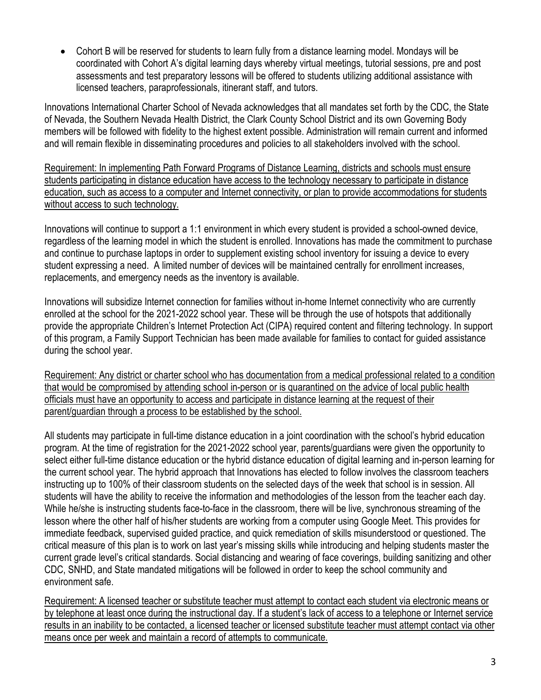• Cohort B will be reserved for students to learn fully from a distance learning model. Mondays will be coordinated with Cohort A's digital learning days whereby virtual meetings, tutorial sessions, pre and post assessments and test preparatory lessons will be offered to students utilizing additional assistance with licensed teachers, paraprofessionals, itinerant staff, and tutors.

Innovations International Charter School of Nevada acknowledges that all mandates set forth by the CDC, the State of Nevada, the Southern Nevada Health District, the Clark County School District and its own Governing Body members will be followed with fidelity to the highest extent possible. Administration will remain current and informed and will remain flexible in disseminating procedures and policies to all stakeholders involved with the school.

Requirement: In implementing Path Forward Programs of Distance Learning, districts and schools must ensure students participating in distance education have access to the technology necessary to participate in distance education, such as access to a computer and Internet connectivity, or plan to provide accommodations for students without access to such technology.

Innovations will continue to support a 1:1 environment in which every student is provided a school-owned device, regardless of the learning model in which the student is enrolled. Innovations has made the commitment to purchase and continue to purchase laptops in order to supplement existing school inventory for issuing a device to every student expressing a need. A limited number of devices will be maintained centrally for enrollment increases, replacements, and emergency needs as the inventory is available.

Innovations will subsidize Internet connection for families without in-home Internet connectivity who are currently enrolled at the school for the 2021-2022 school year. These will be through the use of hotspots that additionally provide the appropriate Children's Internet Protection Act (CIPA) required content and filtering technology. In support of this program, a Family Support Technician has been made available for families to contact for guided assistance during the school year.

Requirement: Any district or charter school who has documentation from a medical professional related to a condition that would be compromised by attending school in-person or is quarantined on the advice of local public health officials must have an opportunity to access and participate in distance learning at the request of their parent/guardian through a process to be established by the school.

All students may participate in full-time distance education in a joint coordination with the school's hybrid education program. At the time of registration for the 2021-2022 school year, parents/guardians were given the opportunity to select either full-time distance education or the hybrid distance education of digital learning and in-person learning for the current school year. The hybrid approach that Innovations has elected to follow involves the classroom teachers instructing up to 100% of their classroom students on the selected days of the week that school is in session. All students will have the ability to receive the information and methodologies of the lesson from the teacher each day. While he/she is instructing students face-to-face in the classroom, there will be live, synchronous streaming of the lesson where the other half of his/her students are working from a computer using Google Meet. This provides for immediate feedback, supervised guided practice, and quick remediation of skills misunderstood or questioned. The critical measure of this plan is to work on last year's missing skills while introducing and helping students master the current grade level's critical standards. Social distancing and wearing of face coverings, building sanitizing and other CDC, SNHD, and State mandated mitigations will be followed in order to keep the school community and environment safe.

Requirement: A licensed teacher or substitute teacher must attempt to contact each student via electronic means or by telephone at least once during the instructional day. If a student's lack of access to a telephone or Internet service results in an inability to be contacted, a licensed teacher or licensed substitute teacher must attempt contact via other means once per week and maintain a record of attempts to communicate.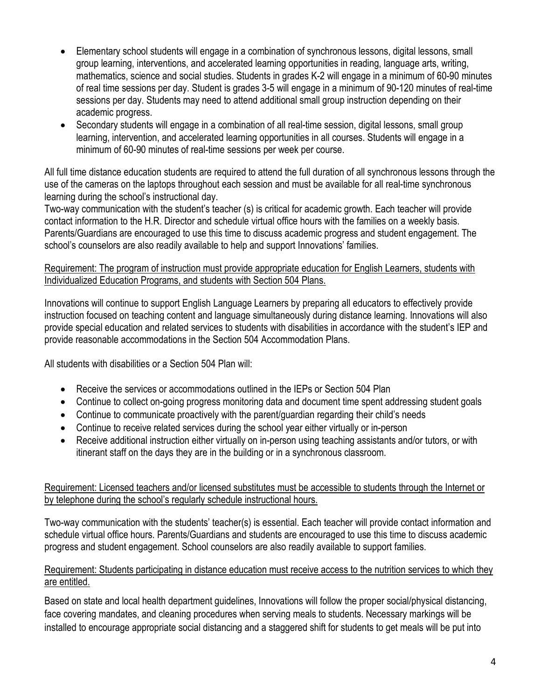- Elementary school students will engage in a combination of synchronous lessons, digital lessons, small group learning, interventions, and accelerated learning opportunities in reading, language arts, writing, mathematics, science and social studies. Students in grades K-2 will engage in a minimum of 60-90 minutes of real time sessions per day. Student is grades 3-5 will engage in a minimum of 90-120 minutes of real-time sessions per day. Students may need to attend additional small group instruction depending on their academic progress.
- Secondary students will engage in a combination of all real-time session, digital lessons, small group learning, intervention, and accelerated learning opportunities in all courses. Students will engage in a minimum of 60-90 minutes of real-time sessions per week per course.

All full time distance education students are required to attend the full duration of all synchronous lessons through the use of the cameras on the laptops throughout each session and must be available for all real-time synchronous learning during the school's instructional day.

Two-way communication with the student's teacher (s) is critical for academic growth. Each teacher will provide contact information to the H.R. Director and schedule virtual office hours with the families on a weekly basis. Parents/Guardians are encouraged to use this time to discuss academic progress and student engagement. The school's counselors are also readily available to help and support Innovations' families.

#### Requirement: The program of instruction must provide appropriate education for English Learners, students with Individualized Education Programs, and students with Section 504 Plans.

Innovations will continue to support English Language Learners by preparing all educators to effectively provide instruction focused on teaching content and language simultaneously during distance learning. Innovations will also provide special education and related services to students with disabilities in accordance with the student's IEP and provide reasonable accommodations in the Section 504 Accommodation Plans.

All students with disabilities or a Section 504 Plan will:

- Receive the services or accommodations outlined in the IEPs or Section 504 Plan
- Continue to collect on-going progress monitoring data and document time spent addressing student goals
- Continue to communicate proactively with the parent/guardian regarding their child's needs
- Continue to receive related services during the school year either virtually or in-person
- Receive additional instruction either virtually on in-person using teaching assistants and/or tutors, or with itinerant staff on the days they are in the building or in a synchronous classroom.

### Requirement: Licensed teachers and/or licensed substitutes must be accessible to students through the Internet or by telephone during the school's regularly schedule instructional hours.

Two-way communication with the students' teacher(s) is essential. Each teacher will provide contact information and schedule virtual office hours. Parents/Guardians and students are encouraged to use this time to discuss academic progress and student engagement. School counselors are also readily available to support families.

### Requirement: Students participating in distance education must receive access to the nutrition services to which they are entitled.

Based on state and local health department guidelines, Innovations will follow the proper social/physical distancing, face covering mandates, and cleaning procedures when serving meals to students. Necessary markings will be installed to encourage appropriate social distancing and a staggered shift for students to get meals will be put into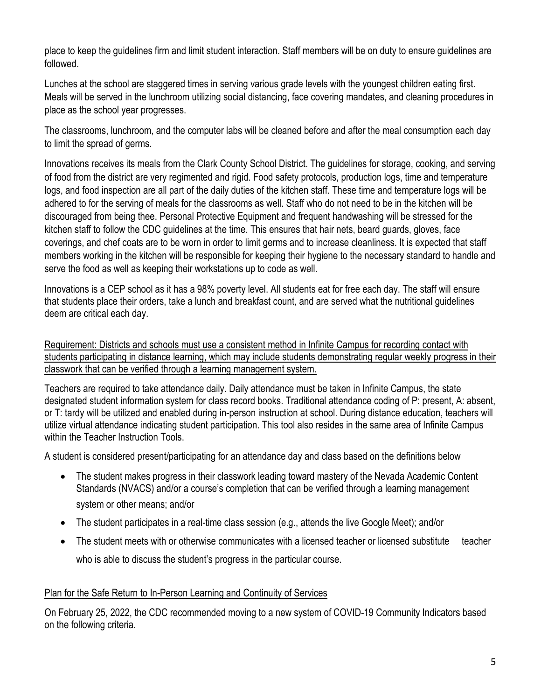place to keep the guidelines firm and limit student interaction. Staff members will be on duty to ensure guidelines are followed.

Lunches at the school are staggered times in serving various grade levels with the youngest children eating first. Meals will be served in the lunchroom utilizing social distancing, face covering mandates, and cleaning procedures in place as the school year progresses.

The classrooms, lunchroom, and the computer labs will be cleaned before and after the meal consumption each day to limit the spread of germs.

Innovations receives its meals from the Clark County School District. The guidelines for storage, cooking, and serving of food from the district are very regimented and rigid. Food safety protocols, production logs, time and temperature logs, and food inspection are all part of the daily duties of the kitchen staff. These time and temperature logs will be adhered to for the serving of meals for the classrooms as well. Staff who do not need to be in the kitchen will be discouraged from being thee. Personal Protective Equipment and frequent handwashing will be stressed for the kitchen staff to follow the CDC guidelines at the time. This ensures that hair nets, beard guards, gloves, face coverings, and chef coats are to be worn in order to limit germs and to increase cleanliness. It is expected that staff members working in the kitchen will be responsible for keeping their hygiene to the necessary standard to handle and serve the food as well as keeping their workstations up to code as well.

Innovations is a CEP school as it has a 98% poverty level. All students eat for free each day. The staff will ensure that students place their orders, take a lunch and breakfast count, and are served what the nutritional guidelines deem are critical each day.

Requirement: Districts and schools must use a consistent method in Infinite Campus for recording contact with students participating in distance learning, which may include students demonstrating regular weekly progress in their classwork that can be verified through a learning management system.

Teachers are required to take attendance daily. Daily attendance must be taken in Infinite Campus, the state designated student information system for class record books. Traditional attendance coding of P: present, A: absent, or T: tardy will be utilized and enabled during in-person instruction at school. During distance education, teachers will utilize virtual attendance indicating student participation. This tool also resides in the same area of Infinite Campus within the Teacher Instruction Tools.

A student is considered present/participating for an attendance day and class based on the definitions below

- The student makes progress in their classwork leading toward mastery of the Nevada Academic Content Standards (NVACS) and/or a course's completion that can be verified through a learning management system or other means; and/or
- The student participates in a real-time class session (e.g., attends the live Google Meet); and/or
- The student meets with or otherwise communicates with a licensed teacher or licensed substitute teacher who is able to discuss the student's progress in the particular course.

## Plan for the Safe Return to In-Person Learning and Continuity of Services

On February 25, 2022, the CDC recommended moving to a new system of COVID-19 Community Indicators based on the following criteria.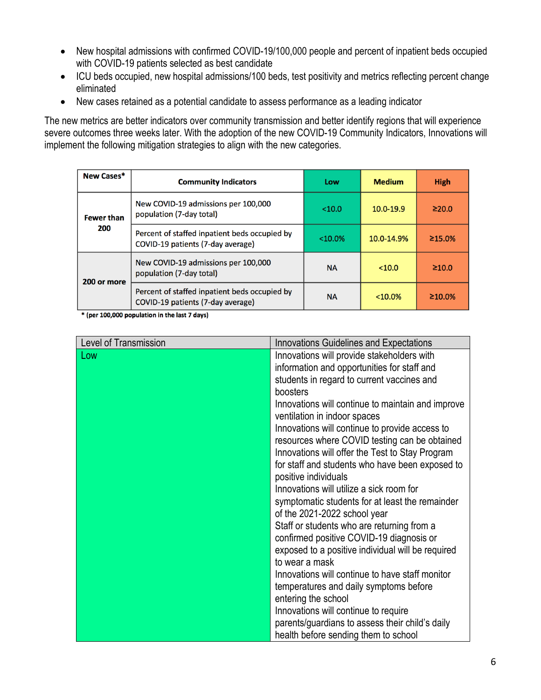- New hospital admissions with confirmed COVID-19/100,000 people and percent of inpatient beds occupied with COVID-19 patients selected as best candidate
- ICU beds occupied, new hospital admissions/100 beds, test positivity and metrics reflecting percent change eliminated
- New cases retained as a potential candidate to assess performance as a leading indicator

The new metrics are better indicators over community transmission and better identify regions that will experience severe outcomes three weeks later. With the adoption of the new COVID-19 Community Indicators, Innovations will implement the following mitigation strategies to align with the new categories.

| New Cases*        | <b>Community Indicators</b>                                                        | Low        | <b>Medium</b> | <b>High</b>   |
|-------------------|------------------------------------------------------------------------------------|------------|---------------|---------------|
| <b>Fewer than</b> | New COVID-19 admissions per 100,000<br>population (7-day total)                    | < 10.0     | $10.0 - 19.9$ | $\geq 20.0$   |
| 200               | Percent of staffed inpatient beds occupied by<br>COVID-19 patients (7-day average) | $< 10.0\%$ | 10.0-14.9%    | $\geq 15.0\%$ |
| 200 or more       | New COVID-19 admissions per 100,000<br>population (7-day total)                    | <b>NA</b>  | < 10.0        | $\geq 10.0$   |
|                   | Percent of staffed inpatient beds occupied by<br>COVID-19 patients (7-day average) | <b>NA</b>  | $< 10.0\%$    | $\geq 10.0\%$ |

\* (per 100,000 population in the last 7 days)

| Level of Transmission |                                                   |
|-----------------------|---------------------------------------------------|
|                       | <b>Innovations Guidelines and Expectations</b>    |
| Low                   | Innovations will provide stakeholders with        |
|                       | information and opportunities for staff and       |
|                       | students in regard to current vaccines and        |
|                       | boosters                                          |
|                       | Innovations will continue to maintain and improve |
|                       | ventilation in indoor spaces                      |
|                       | Innovations will continue to provide access to    |
|                       | resources where COVID testing can be obtained     |
|                       | Innovations will offer the Test to Stay Program   |
|                       | for staff and students who have been exposed to   |
|                       | positive individuals                              |
|                       | Innovations will utilize a sick room for          |
|                       | symptomatic students for at least the remainder   |
|                       | of the 2021-2022 school year                      |
|                       | Staff or students who are returning from a        |
|                       | confirmed positive COVID-19 diagnosis or          |
|                       | exposed to a positive individual will be required |
|                       | to wear a mask                                    |
|                       | Innovations will continue to have staff monitor   |
|                       | temperatures and daily symptoms before            |
|                       | entering the school                               |
|                       | Innovations will continue to require              |
|                       | parents/guardians to assess their child's daily   |
|                       | health before sending them to school              |
|                       |                                                   |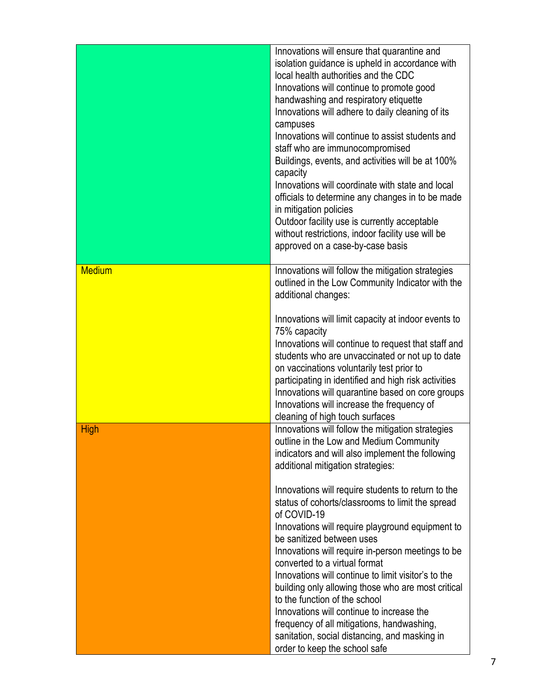|               | Innovations will ensure that quarantine and<br>isolation guidance is upheld in accordance with<br>local health authorities and the CDC<br>Innovations will continue to promote good<br>handwashing and respiratory etiquette<br>Innovations will adhere to daily cleaning of its<br>campuses<br>Innovations will continue to assist students and<br>staff who are immunocompromised<br>Buildings, events, and activities will be at 100%<br>capacity<br>Innovations will coordinate with state and local<br>officials to determine any changes in to be made<br>in mitigation policies<br>Outdoor facility use is currently acceptable<br>without restrictions, indoor facility use will be<br>approved on a case-by-case basis |
|---------------|---------------------------------------------------------------------------------------------------------------------------------------------------------------------------------------------------------------------------------------------------------------------------------------------------------------------------------------------------------------------------------------------------------------------------------------------------------------------------------------------------------------------------------------------------------------------------------------------------------------------------------------------------------------------------------------------------------------------------------|
| <b>Medium</b> | Innovations will follow the mitigation strategies<br>outlined in the Low Community Indicator with the<br>additional changes:<br>Innovations will limit capacity at indoor events to<br>75% capacity<br>Innovations will continue to request that staff and<br>students who are unvaccinated or not up to date<br>on vaccinations voluntarily test prior to<br>participating in identified and high risk activities<br>Innovations will quarantine based on core groups<br>Innovations will increase the frequency of                                                                                                                                                                                                            |
|               | cleaning of high touch surfaces                                                                                                                                                                                                                                                                                                                                                                                                                                                                                                                                                                                                                                                                                                 |
| <b>High</b>   | Innovations will follow the mitigation strategies<br>outline in the Low and Medium Community<br>indicators and will also implement the following<br>additional mitigation strategies:                                                                                                                                                                                                                                                                                                                                                                                                                                                                                                                                           |
|               | Innovations will require students to return to the<br>status of cohorts/classrooms to limit the spread<br>of COVID-19<br>Innovations will require playground equipment to<br>be sanitized between uses<br>Innovations will require in-person meetings to be<br>converted to a virtual format<br>Innovations will continue to limit visitor's to the<br>building only allowing those who are most critical<br>to the function of the school<br>Innovations will continue to increase the<br>frequency of all mitigations, handwashing,<br>sanitation, social distancing, and masking in<br>order to keep the school safe                                                                                                         |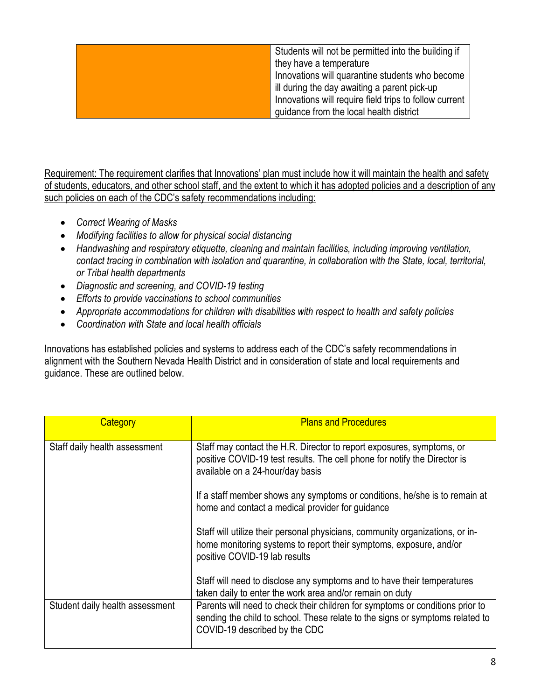| Students will not be permitted into the building if    |
|--------------------------------------------------------|
| they have a temperature                                |
| Innovations will quarantine students who become        |
| ill during the day awaiting a parent pick-up           |
| Innovations will require field trips to follow current |
| guidance from the local health district                |

Requirement: The requirement clarifies that Innovations' plan must include how it will maintain the health and safety of students, educators, and other school staff, and the extent to which it has adopted policies and a description of any such policies on each of the CDC's safety recommendations including:

- *Correct Wearing of Masks*
- *Modifying facilities to allow for physical social distancing*
- *Handwashing and respiratory etiquette, cleaning and maintain facilities, including improving ventilation, contact tracing in combination with isolation and quarantine, in collaboration with the State, local, territorial, or Tribal health departments*
- *Diagnostic and screening, and COVID-19 testing*
- *Efforts to provide vaccinations to school communities*
- *Appropriate accommodations for children with disabilities with respect to health and safety policies*
- *Coordination with State and local health officials*

Innovations has established policies and systems to address each of the CDC's safety recommendations in alignment with the Southern Nevada Health District and in consideration of state and local requirements and guidance. These are outlined below.

| Category                        | <b>Plans and Procedures</b>                                                                                                                                                                     |
|---------------------------------|-------------------------------------------------------------------------------------------------------------------------------------------------------------------------------------------------|
| Staff daily health assessment   | Staff may contact the H.R. Director to report exposures, symptoms, or<br>positive COVID-19 test results. The cell phone for notify the Director is<br>available on a 24-hour/day basis          |
|                                 | If a staff member shows any symptoms or conditions, he/she is to remain at<br>home and contact a medical provider for guidance                                                                  |
|                                 | Staff will utilize their personal physicians, community organizations, or in-<br>home monitoring systems to report their symptoms, exposure, and/or<br>positive COVID-19 lab results            |
|                                 | Staff will need to disclose any symptoms and to have their temperatures<br>taken daily to enter the work area and/or remain on duty                                                             |
| Student daily health assessment | Parents will need to check their children for symptoms or conditions prior to<br>sending the child to school. These relate to the signs or symptoms related to<br>COVID-19 described by the CDC |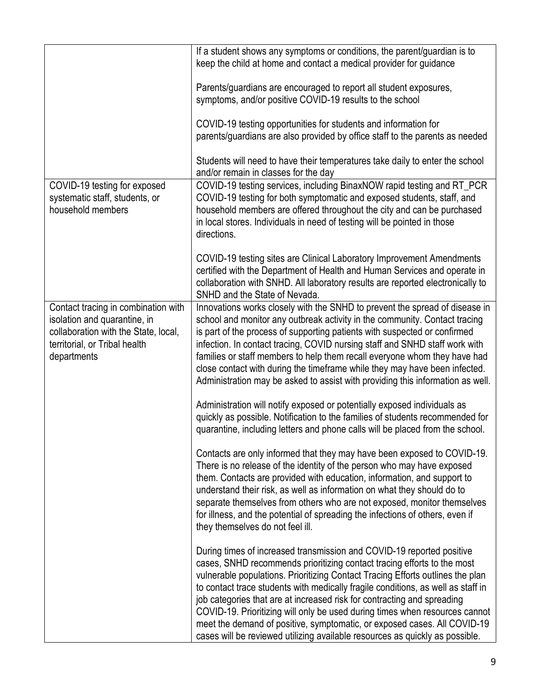|                                                                                                                                                             | If a student shows any symptoms or conditions, the parent/guardian is to<br>keep the child at home and contact a medical provider for guidance                                                                                                                                                                                                                                                                                                                                                                                                                                                                                               |
|-------------------------------------------------------------------------------------------------------------------------------------------------------------|----------------------------------------------------------------------------------------------------------------------------------------------------------------------------------------------------------------------------------------------------------------------------------------------------------------------------------------------------------------------------------------------------------------------------------------------------------------------------------------------------------------------------------------------------------------------------------------------------------------------------------------------|
|                                                                                                                                                             | Parents/guardians are encouraged to report all student exposures,<br>symptoms, and/or positive COVID-19 results to the school                                                                                                                                                                                                                                                                                                                                                                                                                                                                                                                |
|                                                                                                                                                             | COVID-19 testing opportunities for students and information for<br>parents/guardians are also provided by office staff to the parents as needed                                                                                                                                                                                                                                                                                                                                                                                                                                                                                              |
|                                                                                                                                                             | Students will need to have their temperatures take daily to enter the school<br>and/or remain in classes for the day                                                                                                                                                                                                                                                                                                                                                                                                                                                                                                                         |
| COVID-19 testing for exposed<br>systematic staff, students, or<br>household members                                                                         | COVID-19 testing services, including BinaxNOW rapid testing and RT_PCR<br>COVID-19 testing for both symptomatic and exposed students, staff, and<br>household members are offered throughout the city and can be purchased<br>in local stores. Individuals in need of testing will be pointed in those<br>directions.                                                                                                                                                                                                                                                                                                                        |
|                                                                                                                                                             | COVID-19 testing sites are Clinical Laboratory Improvement Amendments<br>certified with the Department of Health and Human Services and operate in<br>collaboration with SNHD. All laboratory results are reported electronically to<br>SNHD and the State of Nevada.                                                                                                                                                                                                                                                                                                                                                                        |
| Contact tracing in combination with<br>isolation and quarantine, in<br>collaboration with the State, local,<br>territorial, or Tribal health<br>departments | Innovations works closely with the SNHD to prevent the spread of disease in<br>school and monitor any outbreak activity in the community. Contact tracing<br>is part of the process of supporting patients with suspected or confirmed<br>infection. In contact tracing, COVID nursing staff and SNHD staff work with<br>families or staff members to help them recall everyone whom they have had<br>close contact with during the timeframe while they may have been infected.<br>Administration may be asked to assist with providing this information as well.                                                                           |
|                                                                                                                                                             | Administration will notify exposed or potentially exposed individuals as<br>quickly as possible. Notification to the families of students recommended for<br>quarantine, including letters and phone calls will be placed from the school.                                                                                                                                                                                                                                                                                                                                                                                                   |
|                                                                                                                                                             | Contacts are only informed that they may have been exposed to COVID-19.<br>There is no release of the identity of the person who may have exposed<br>them. Contacts are provided with education, information, and support to<br>understand their risk, as well as information on what they should do to<br>separate themselves from others who are not exposed, monitor themselves<br>for illness, and the potential of spreading the infections of others, even if<br>they themselves do not feel ill.                                                                                                                                      |
|                                                                                                                                                             | During times of increased transmission and COVID-19 reported positive<br>cases, SNHD recommends prioritizing contact tracing efforts to the most<br>vulnerable populations. Prioritizing Contact Tracing Efforts outlines the plan<br>to contact trace students with medically fragile conditions, as well as staff in<br>job categories that are at increased risk for contracting and spreading<br>COVID-19. Prioritizing will only be used during times when resources cannot<br>meet the demand of positive, symptomatic, or exposed cases. All COVID-19<br>cases will be reviewed utilizing available resources as quickly as possible. |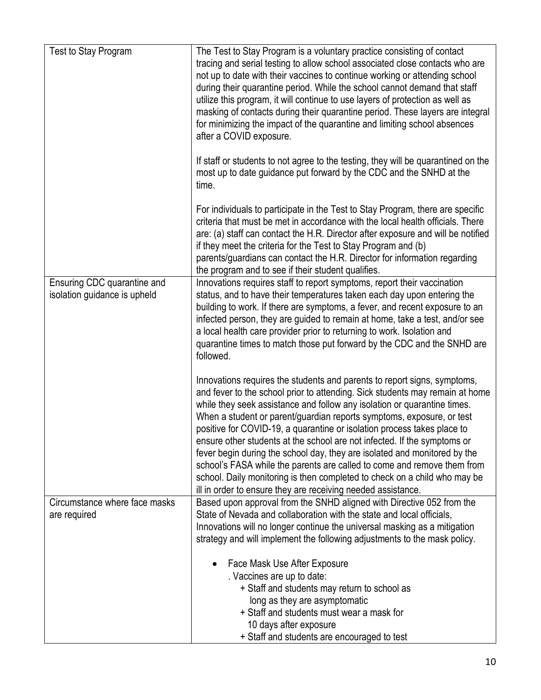| Test to Stay Program                                        | The Test to Stay Program is a voluntary practice consisting of contact<br>tracing and serial testing to allow school associated close contacts who are<br>not up to date with their vaccines to continue working or attending school<br>during their quarantine period. While the school cannot demand that staff<br>utilize this program, it will continue to use layers of protection as well as<br>masking of contacts during their quarantine period. These layers are integral<br>for minimizing the impact of the quarantine and limiting school absences<br>after a COVID exposure.                                                                                                                                                                                |
|-------------------------------------------------------------|---------------------------------------------------------------------------------------------------------------------------------------------------------------------------------------------------------------------------------------------------------------------------------------------------------------------------------------------------------------------------------------------------------------------------------------------------------------------------------------------------------------------------------------------------------------------------------------------------------------------------------------------------------------------------------------------------------------------------------------------------------------------------|
|                                                             | If staff or students to not agree to the testing, they will be quarantined on the<br>most up to date guidance put forward by the CDC and the SNHD at the<br>time.                                                                                                                                                                                                                                                                                                                                                                                                                                                                                                                                                                                                         |
|                                                             | For individuals to participate in the Test to Stay Program, there are specific<br>criteria that must be met in accordance with the local health officials. There<br>are: (a) staff can contact the H.R. Director after exposure and will be notified<br>if they meet the criteria for the Test to Stay Program and (b)<br>parents/guardians can contact the H.R. Director for information regarding<br>the program and to see if their student qualifies.                                                                                                                                                                                                                                                                                                                 |
| Ensuring CDC quarantine and<br>isolation guidance is upheld | Innovations requires staff to report symptoms, report their vaccination<br>status, and to have their temperatures taken each day upon entering the<br>building to work. If there are symptoms, a fever, and recent exposure to an<br>infected person, they are guided to remain at home, take a test, and/or see<br>a local health care provider prior to returning to work. Isolation and<br>quarantine times to match those put forward by the CDC and the SNHD are<br>followed.                                                                                                                                                                                                                                                                                        |
|                                                             | Innovations requires the students and parents to report signs, symptoms,<br>and fever to the school prior to attending. Sick students may remain at home<br>while they seek assistance and follow any isolation or quarantine times.<br>When a student or parent/guardian reports symptoms, exposure, or test<br>positive for COVID-19, a quarantine or isolation process takes place to<br>ensure other students at the school are not infected. If the symptoms or<br>fever begin during the school day, they are isolated and monitored by the<br>school's FASA while the parents are called to come and remove them from<br>school. Daily monitoring is then completed to check on a child who may be<br>ill in order to ensure they are receiving needed assistance. |
| Circumstance where face masks<br>are required               | Based upon approval from the SNHD aligned with Directive 052 from the<br>State of Nevada and collaboration with the state and local officials,<br>Innovations will no longer continue the universal masking as a mitigation<br>strategy and will implement the following adjustments to the mask policy.                                                                                                                                                                                                                                                                                                                                                                                                                                                                  |
|                                                             | Face Mask Use After Exposure<br>. Vaccines are up to date:<br>+ Staff and students may return to school as<br>long as they are asymptomatic<br>+ Staff and students must wear a mask for<br>10 days after exposure<br>+ Staff and students are encouraged to test                                                                                                                                                                                                                                                                                                                                                                                                                                                                                                         |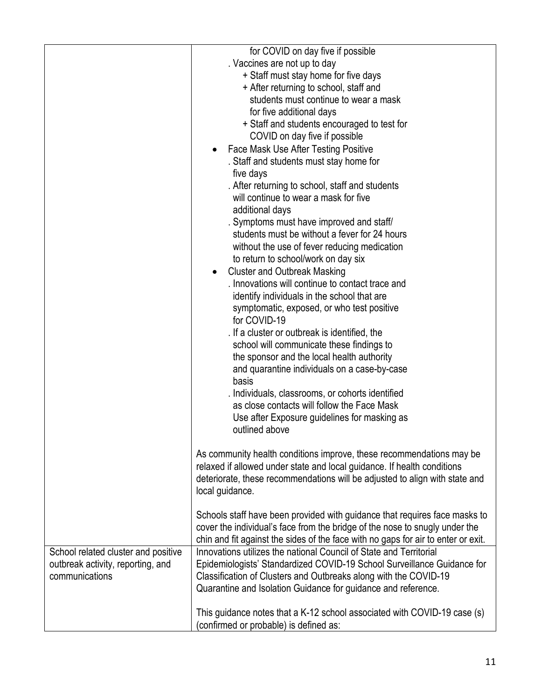|                                                                                            | for COVID on day five if possible<br>. Vaccines are not up to day<br>+ Staff must stay home for five days<br>+ After returning to school, staff and<br>students must continue to wear a mask<br>for five additional days<br>+ Staff and students encouraged to test for<br>COVID on day five if possible<br>Face Mask Use After Testing Positive<br>. Staff and students must stay home for<br>five days<br>. After returning to school, staff and students<br>will continue to wear a mask for five<br>additional days<br>. Symptoms must have improved and staff/<br>students must be without a fever for 24 hours<br>without the use of fever reducing medication<br>to return to school/work on day six<br><b>Cluster and Outbreak Masking</b> |
|--------------------------------------------------------------------------------------------|----------------------------------------------------------------------------------------------------------------------------------------------------------------------------------------------------------------------------------------------------------------------------------------------------------------------------------------------------------------------------------------------------------------------------------------------------------------------------------------------------------------------------------------------------------------------------------------------------------------------------------------------------------------------------------------------------------------------------------------------------|
|                                                                                            | symptomatic, exposed, or who test positive<br>for COVID-19<br>. If a cluster or outbreak is identified, the<br>school will communicate these findings to<br>the sponsor and the local health authority<br>and quarantine individuals on a case-by-case<br>basis<br>. Individuals, classrooms, or cohorts identified<br>as close contacts will follow the Face Mask<br>Use after Exposure guidelines for masking as<br>outlined above                                                                                                                                                                                                                                                                                                               |
|                                                                                            | As community health conditions improve, these recommendations may be<br>relaxed if allowed under state and local guidance. If health conditions<br>deteriorate, these recommendations will be adjusted to align with state and<br>local guidance.<br>Schools staff have been provided with guidance that requires face masks to<br>cover the individual's face from the bridge of the nose to snugly under the                                                                                                                                                                                                                                                                                                                                     |
|                                                                                            | chin and fit against the sides of the face with no gaps for air to enter or exit.                                                                                                                                                                                                                                                                                                                                                                                                                                                                                                                                                                                                                                                                  |
| School related cluster and positive<br>outbreak activity, reporting, and<br>communications | Innovations utilizes the national Council of State and Territorial<br>Epidemiologists' Standardized COVID-19 School Surveillance Guidance for<br>Classification of Clusters and Outbreaks along with the COVID-19<br>Quarantine and Isolation Guidance for guidance and reference.                                                                                                                                                                                                                                                                                                                                                                                                                                                                 |
|                                                                                            | This guidance notes that a K-12 school associated with COVID-19 case (s)<br>(confirmed or probable) is defined as:                                                                                                                                                                                                                                                                                                                                                                                                                                                                                                                                                                                                                                 |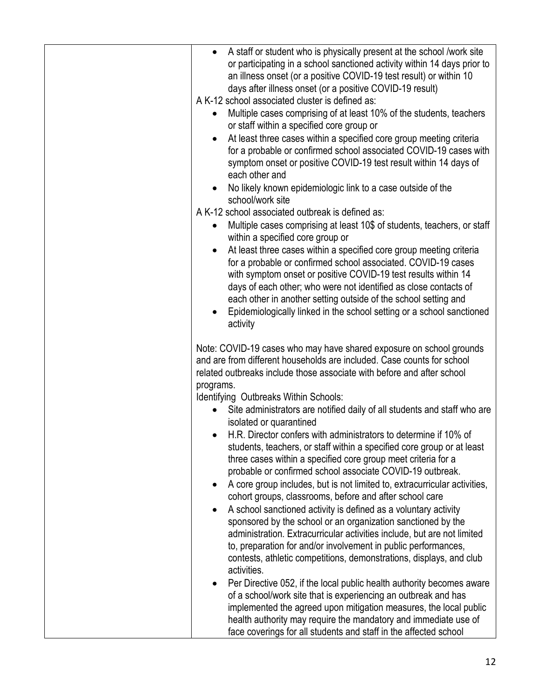| A staff or student who is physically present at the school /work site<br>or participating in a school sanctioned activity within 14 days prior to<br>an illness onset (or a positive COVID-19 test result) or within 10<br>days after illness onset (or a positive COVID-19 result)<br>A K-12 school associated cluster is defined as:<br>Multiple cases comprising of at least 10% of the students, teachers<br>$\bullet$<br>or staff within a specified core group or<br>At least three cases within a specified core group meeting criteria<br>for a probable or confirmed school associated COVID-19 cases with<br>symptom onset or positive COVID-19 test result within 14 days of<br>each other and<br>No likely known epidemiologic link to a case outside of the<br>school/work site<br>A K-12 school associated outbreak is defined as:<br>Multiple cases comprising at least 10\$ of students, teachers, or staff<br>within a specified core group or<br>At least three cases within a specified core group meeting criteria<br>for a probable or confirmed school associated. COVID-19 cases<br>with symptom onset or positive COVID-19 test results within 14<br>days of each other; who were not identified as close contacts of<br>each other in another setting outside of the school setting and<br>Epidemiologically linked in the school setting or a school sanctioned<br>activity                                                                                                                                 |
|---------------------------------------------------------------------------------------------------------------------------------------------------------------------------------------------------------------------------------------------------------------------------------------------------------------------------------------------------------------------------------------------------------------------------------------------------------------------------------------------------------------------------------------------------------------------------------------------------------------------------------------------------------------------------------------------------------------------------------------------------------------------------------------------------------------------------------------------------------------------------------------------------------------------------------------------------------------------------------------------------------------------------------------------------------------------------------------------------------------------------------------------------------------------------------------------------------------------------------------------------------------------------------------------------------------------------------------------------------------------------------------------------------------------------------------------------------------------------------------------------------------------------------------|
| Note: COVID-19 cases who may have shared exposure on school grounds<br>and are from different households are included. Case counts for school<br>related outbreaks include those associate with before and after school<br>programs.<br>Identifying Outbreaks Within Schools:<br>Site administrators are notified daily of all students and staff who are<br>isolated or quarantined<br>H.R. Director confers with administrators to determine if 10% of<br>students, teachers, or staff within a specified core group or at least<br>three cases within a specified core group meet criteria for a<br>probable or confirmed school associate COVID-19 outbreak.<br>A core group includes, but is not limited to, extracurricular activities,<br>cohort groups, classrooms, before and after school care<br>A school sanctioned activity is defined as a voluntary activity<br>sponsored by the school or an organization sanctioned by the<br>administration. Extracurricular activities include, but are not limited<br>to, preparation for and/or involvement in public performances,<br>contests, athletic competitions, demonstrations, displays, and club<br>activities.<br>Per Directive 052, if the local public health authority becomes aware<br>of a school/work site that is experiencing an outbreak and has<br>implemented the agreed upon mitigation measures, the local public<br>health authority may require the mandatory and immediate use of<br>face coverings for all students and staff in the affected school |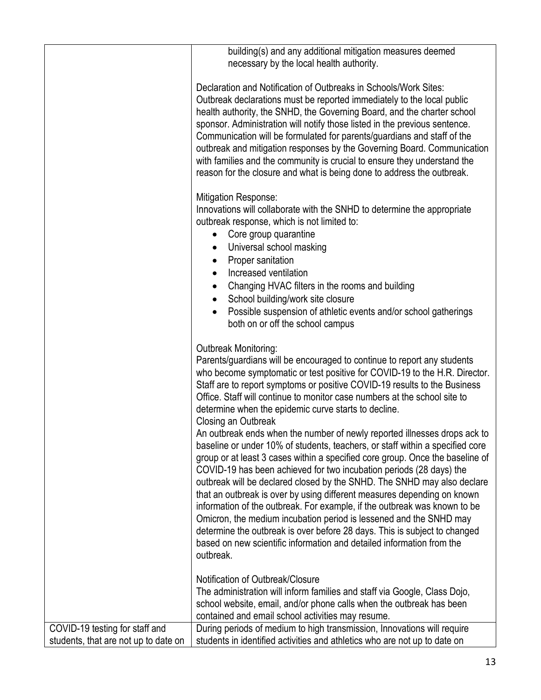|                                                                        | building(s) and any additional mitigation measures deemed<br>necessary by the local health authority.                                                                                                                                                                                                                                                                                                                                                                                                                                                                                                                                                                                                                                                                                                                                                                                                                                                                                                                                                                                                                                                                                                                    |
|------------------------------------------------------------------------|--------------------------------------------------------------------------------------------------------------------------------------------------------------------------------------------------------------------------------------------------------------------------------------------------------------------------------------------------------------------------------------------------------------------------------------------------------------------------------------------------------------------------------------------------------------------------------------------------------------------------------------------------------------------------------------------------------------------------------------------------------------------------------------------------------------------------------------------------------------------------------------------------------------------------------------------------------------------------------------------------------------------------------------------------------------------------------------------------------------------------------------------------------------------------------------------------------------------------|
|                                                                        | Declaration and Notification of Outbreaks in Schools/Work Sites:<br>Outbreak declarations must be reported immediately to the local public<br>health authority, the SNHD, the Governing Board, and the charter school<br>sponsor. Administration will notify those listed in the previous sentence.<br>Communication will be formulated for parents/guardians and staff of the<br>outbreak and mitigation responses by the Governing Board. Communication<br>with families and the community is crucial to ensure they understand the<br>reason for the closure and what is being done to address the outbreak.                                                                                                                                                                                                                                                                                                                                                                                                                                                                                                                                                                                                          |
|                                                                        | <b>Mitigation Response:</b><br>Innovations will collaborate with the SNHD to determine the appropriate<br>outbreak response, which is not limited to:<br>Core group quarantine<br>$\bullet$<br>Universal school masking<br>Proper sanitation<br>Increased ventilation<br>Changing HVAC filters in the rooms and building<br>School building/work site closure<br>Possible suspension of athletic events and/or school gatherings<br>both on or off the school campus                                                                                                                                                                                                                                                                                                                                                                                                                                                                                                                                                                                                                                                                                                                                                     |
|                                                                        | Outbreak Monitoring:<br>Parents/guardians will be encouraged to continue to report any students<br>who become symptomatic or test positive for COVID-19 to the H.R. Director.<br>Staff are to report symptoms or positive COVID-19 results to the Business<br>Office. Staff will continue to monitor case numbers at the school site to<br>determine when the epidemic curve starts to decline.<br>Closing an Outbreak<br>An outbreak ends when the number of newly reported illnesses drops ack to<br>baseline or under 10% of students, teachers, or staff within a specified core<br>group or at least 3 cases within a specified core group. Once the baseline of<br>COVID-19 has been achieved for two incubation periods (28 days) the<br>outbreak will be declared closed by the SNHD. The SNHD may also declare<br>that an outbreak is over by using different measures depending on known<br>information of the outbreak. For example, if the outbreak was known to be<br>Omicron, the medium incubation period is lessened and the SNHD may<br>determine the outbreak is over before 28 days. This is subject to changed<br>based on new scientific information and detailed information from the<br>outbreak. |
|                                                                        | Notification of Outbreak/Closure<br>The administration will inform families and staff via Google, Class Dojo,<br>school website, email, and/or phone calls when the outbreak has been<br>contained and email school activities may resume.                                                                                                                                                                                                                                                                                                                                                                                                                                                                                                                                                                                                                                                                                                                                                                                                                                                                                                                                                                               |
| COVID-19 testing for staff and<br>students, that are not up to date on | During periods of medium to high transmission, Innovations will require<br>students in identified activities and athletics who are not up to date on                                                                                                                                                                                                                                                                                                                                                                                                                                                                                                                                                                                                                                                                                                                                                                                                                                                                                                                                                                                                                                                                     |
|                                                                        |                                                                                                                                                                                                                                                                                                                                                                                                                                                                                                                                                                                                                                                                                                                                                                                                                                                                                                                                                                                                                                                                                                                                                                                                                          |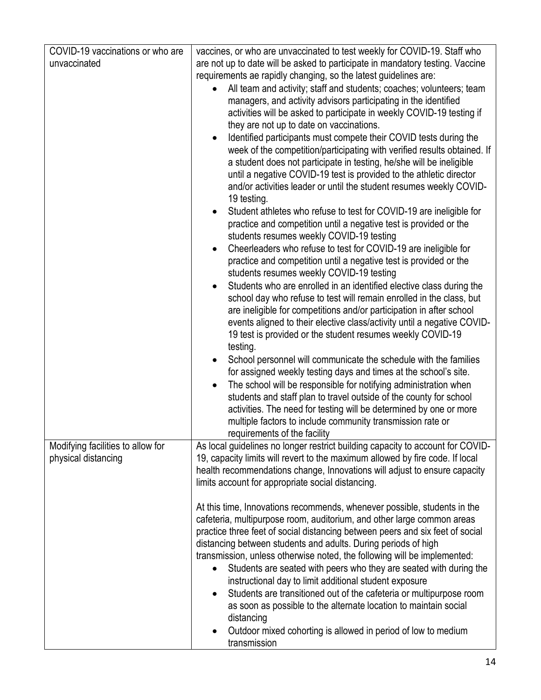| COVID-19 vaccinations or who are  | vaccines, or who are unvaccinated to test weekly for COVID-19. Staff who                                                                          |
|-----------------------------------|---------------------------------------------------------------------------------------------------------------------------------------------------|
| unvaccinated                      | are not up to date will be asked to participate in mandatory testing. Vaccine                                                                     |
|                                   | requirements ae rapidly changing, so the latest guidelines are:                                                                                   |
|                                   | All team and activity; staff and students; coaches; volunteers; team<br>$\bullet$                                                                 |
|                                   | managers, and activity advisors participating in the identified                                                                                   |
|                                   | activities will be asked to participate in weekly COVID-19 testing if                                                                             |
|                                   | they are not up to date on vaccinations.                                                                                                          |
|                                   | Identified participants must compete their COVID tests during the                                                                                 |
|                                   | week of the competition/participating with verified results obtained. If                                                                          |
|                                   | a student does not participate in testing, he/she will be ineligible                                                                              |
|                                   | until a negative COVID-19 test is provided to the athletic director                                                                               |
|                                   | and/or activities leader or until the student resumes weekly COVID-                                                                               |
|                                   | 19 testing.                                                                                                                                       |
|                                   | Student athletes who refuse to test for COVID-19 are ineligible for<br>$\bullet$                                                                  |
|                                   | practice and competition until a negative test is provided or the                                                                                 |
|                                   | students resumes weekly COVID-19 testing                                                                                                          |
|                                   | Cheerleaders who refuse to test for COVID-19 are ineligible for<br>$\bullet$<br>practice and competition until a negative test is provided or the |
|                                   | students resumes weekly COVID-19 testing                                                                                                          |
|                                   | Students who are enrolled in an identified elective class during the<br>$\bullet$                                                                 |
|                                   | school day who refuse to test will remain enrolled in the class, but                                                                              |
|                                   | are ineligible for competitions and/or participation in after school                                                                              |
|                                   | events aligned to their elective class/activity until a negative COVID-                                                                           |
|                                   | 19 test is provided or the student resumes weekly COVID-19<br>testing.                                                                            |
|                                   | School personnel will communicate the schedule with the families                                                                                  |
|                                   | for assigned weekly testing days and times at the school's site.                                                                                  |
|                                   | The school will be responsible for notifying administration when                                                                                  |
|                                   | students and staff plan to travel outside of the county for school                                                                                |
|                                   | activities. The need for testing will be determined by one or more                                                                                |
|                                   | multiple factors to include community transmission rate or                                                                                        |
|                                   | requirements of the facility                                                                                                                      |
| Modifying facilities to allow for | As local guidelines no longer restrict building capacity to account for COVID-                                                                    |
| physical distancing               | 19, capacity limits will revert to the maximum allowed by fire code. If local                                                                     |
|                                   | health recommendations change, Innovations will adjust to ensure capacity                                                                         |
|                                   | limits account for appropriate social distancing.                                                                                                 |
|                                   | At this time, Innovations recommends, whenever possible, students in the                                                                          |
|                                   | cafeteria, multipurpose room, auditorium, and other large common areas                                                                            |
|                                   | practice three feet of social distancing between peers and six feet of social                                                                     |
|                                   | distancing between students and adults. During periods of high                                                                                    |
|                                   | transmission, unless otherwise noted, the following will be implemented:                                                                          |
|                                   | Students are seated with peers who they are seated with during the                                                                                |
|                                   | instructional day to limit additional student exposure                                                                                            |
|                                   | Students are transitioned out of the cafeteria or multipurpose room<br>$\bullet$                                                                  |
|                                   | as soon as possible to the alternate location to maintain social                                                                                  |
|                                   | distancing                                                                                                                                        |
|                                   | Outdoor mixed cohorting is allowed in period of low to medium<br>transmission                                                                     |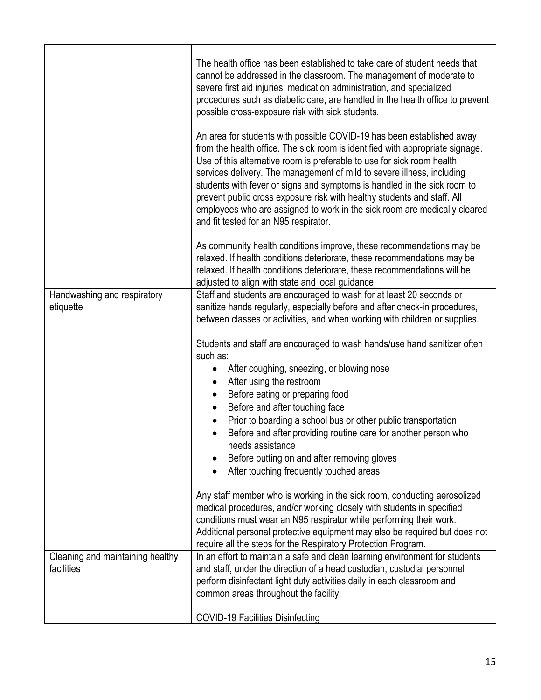|                                                | The health office has been established to take care of student needs that<br>cannot be addressed in the classroom. The management of moderate to<br>severe first aid injuries, medication administration, and specialized<br>procedures such as diabetic care, are handled in the health office to prevent<br>possible cross-exposure risk with sick students.                                                                                                                                                                                                                          |
|------------------------------------------------|-----------------------------------------------------------------------------------------------------------------------------------------------------------------------------------------------------------------------------------------------------------------------------------------------------------------------------------------------------------------------------------------------------------------------------------------------------------------------------------------------------------------------------------------------------------------------------------------|
|                                                | An area for students with possible COVID-19 has been established away<br>from the health office. The sick room is identified with appropriate signage.<br>Use of this alternative room is preferable to use for sick room health<br>services delivery. The management of mild to severe illness, including<br>students with fever or signs and symptoms is handled in the sick room to<br>prevent public cross exposure risk with healthy students and staff. All<br>employees who are assigned to work in the sick room are medically cleared<br>and fit tested for an N95 respirator. |
|                                                | As community health conditions improve, these recommendations may be<br>relaxed. If health conditions deteriorate, these recommendations may be<br>relaxed. If health conditions deteriorate, these recommendations will be<br>adjusted to align with state and local guidance.                                                                                                                                                                                                                                                                                                         |
| Handwashing and respiratory<br>etiquette       | Staff and students are encouraged to wash for at least 20 seconds or<br>sanitize hands regularly, especially before and after check-in procedures,<br>between classes or activities, and when working with children or supplies.                                                                                                                                                                                                                                                                                                                                                        |
|                                                | Students and staff are encouraged to wash hands/use hand sanitizer often<br>such as:                                                                                                                                                                                                                                                                                                                                                                                                                                                                                                    |
|                                                | After coughing, sneezing, or blowing nose<br>$\bullet$                                                                                                                                                                                                                                                                                                                                                                                                                                                                                                                                  |
|                                                | After using the restroom<br>٠<br>Before eating or preparing food<br>٠                                                                                                                                                                                                                                                                                                                                                                                                                                                                                                                   |
|                                                | Before and after touching face<br>$\bullet$                                                                                                                                                                                                                                                                                                                                                                                                                                                                                                                                             |
|                                                | Prior to boarding a school bus or other public transportation<br>$\bullet$<br>Before and after providing routine care for another person who<br>$\bullet$<br>needs assistance                                                                                                                                                                                                                                                                                                                                                                                                           |
|                                                | Before putting on and after removing gloves                                                                                                                                                                                                                                                                                                                                                                                                                                                                                                                                             |
|                                                | After touching frequently touched areas                                                                                                                                                                                                                                                                                                                                                                                                                                                                                                                                                 |
|                                                | Any staff member who is working in the sick room, conducting aerosolized<br>medical procedures, and/or working closely with students in specified<br>conditions must wear an N95 respirator while performing their work.<br>Additional personal protective equipment may also be required but does not<br>require all the steps for the Respiratory Protection Program.                                                                                                                                                                                                                 |
| Cleaning and maintaining healthy<br>facilities | In an effort to maintain a safe and clean learning environment for students<br>and staff, under the direction of a head custodian, custodial personnel<br>perform disinfectant light duty activities daily in each classroom and<br>common areas throughout the facility.                                                                                                                                                                                                                                                                                                               |
|                                                | <b>COVID-19 Facilities Disinfecting</b>                                                                                                                                                                                                                                                                                                                                                                                                                                                                                                                                                 |
|                                                |                                                                                                                                                                                                                                                                                                                                                                                                                                                                                                                                                                                         |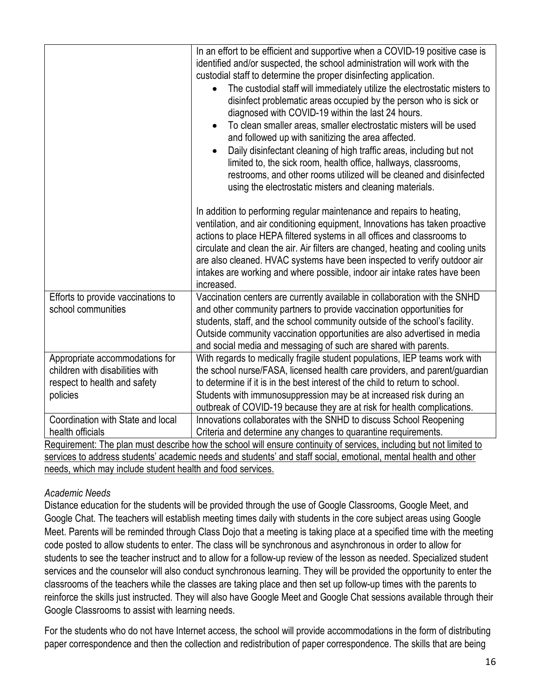|                                                                                                                     | In an effort to be efficient and supportive when a COVID-19 positive case is<br>identified and/or suspected, the school administration will work with the<br>custodial staff to determine the proper disinfecting application.<br>The custodial staff will immediately utilize the electrostatic misters to<br>disinfect problematic areas occupied by the person who is sick or<br>diagnosed with COVID-19 within the last 24 hours.<br>To clean smaller areas, smaller electrostatic misters will be used<br>and followed up with sanitizing the area affected.<br>Daily disinfectant cleaning of high traffic areas, including but not<br>$\bullet$<br>limited to, the sick room, health office, hallways, classrooms,<br>restrooms, and other rooms utilized will be cleaned and disinfected<br>using the electrostatic misters and cleaning materials.<br>In addition to performing regular maintenance and repairs to heating,<br>ventilation, and air conditioning equipment, Innovations has taken proactive<br>actions to place HEPA filtered systems in all offices and classrooms to<br>circulate and clean the air. Air filters are changed, heating and cooling units<br>are also cleaned. HVAC systems have been inspected to verify outdoor air<br>intakes are working and where possible, indoor air intake rates have been<br>increased. |
|---------------------------------------------------------------------------------------------------------------------|-----------------------------------------------------------------------------------------------------------------------------------------------------------------------------------------------------------------------------------------------------------------------------------------------------------------------------------------------------------------------------------------------------------------------------------------------------------------------------------------------------------------------------------------------------------------------------------------------------------------------------------------------------------------------------------------------------------------------------------------------------------------------------------------------------------------------------------------------------------------------------------------------------------------------------------------------------------------------------------------------------------------------------------------------------------------------------------------------------------------------------------------------------------------------------------------------------------------------------------------------------------------------------------------------------------------------------------------------------------|
| Efforts to provide vaccinations to<br>school communities                                                            | Vaccination centers are currently available in collaboration with the SNHD<br>and other community partners to provide vaccination opportunities for<br>students, staff, and the school community outside of the school's facility.<br>Outside community vaccination opportunities are also advertised in media<br>and social media and messaging of such are shared with parents.                                                                                                                                                                                                                                                                                                                                                                                                                                                                                                                                                                                                                                                                                                                                                                                                                                                                                                                                                                         |
| Appropriate accommodations for                                                                                      | With regards to medically fragile student populations, IEP teams work with                                                                                                                                                                                                                                                                                                                                                                                                                                                                                                                                                                                                                                                                                                                                                                                                                                                                                                                                                                                                                                                                                                                                                                                                                                                                                |
| children with disabilities with                                                                                     | the school nurse/FASA, licensed health care providers, and parent/guardian                                                                                                                                                                                                                                                                                                                                                                                                                                                                                                                                                                                                                                                                                                                                                                                                                                                                                                                                                                                                                                                                                                                                                                                                                                                                                |
| respect to health and safety                                                                                        | to determine if it is in the best interest of the child to return to school.                                                                                                                                                                                                                                                                                                                                                                                                                                                                                                                                                                                                                                                                                                                                                                                                                                                                                                                                                                                                                                                                                                                                                                                                                                                                              |
| policies                                                                                                            | Students with immunosuppression may be at increased risk during an                                                                                                                                                                                                                                                                                                                                                                                                                                                                                                                                                                                                                                                                                                                                                                                                                                                                                                                                                                                                                                                                                                                                                                                                                                                                                        |
|                                                                                                                     | outbreak of COVID-19 because they are at risk for health complications.                                                                                                                                                                                                                                                                                                                                                                                                                                                                                                                                                                                                                                                                                                                                                                                                                                                                                                                                                                                                                                                                                                                                                                                                                                                                                   |
| Coordination with State and local                                                                                   | Innovations collaborates with the SNHD to discuss School Reopening                                                                                                                                                                                                                                                                                                                                                                                                                                                                                                                                                                                                                                                                                                                                                                                                                                                                                                                                                                                                                                                                                                                                                                                                                                                                                        |
| health officials                                                                                                    | Criteria and determine any changes to quarantine requirements.                                                                                                                                                                                                                                                                                                                                                                                                                                                                                                                                                                                                                                                                                                                                                                                                                                                                                                                                                                                                                                                                                                                                                                                                                                                                                            |
| Requirement: The plan must describe how the school will ensure continuity of services, including but not limited to |                                                                                                                                                                                                                                                                                                                                                                                                                                                                                                                                                                                                                                                                                                                                                                                                                                                                                                                                                                                                                                                                                                                                                                                                                                                                                                                                                           |
| services to address students' academic needs and students' and staff social, emotional, mental health and other     |                                                                                                                                                                                                                                                                                                                                                                                                                                                                                                                                                                                                                                                                                                                                                                                                                                                                                                                                                                                                                                                                                                                                                                                                                                                                                                                                                           |
| needs, which may include student health and food services.                                                          |                                                                                                                                                                                                                                                                                                                                                                                                                                                                                                                                                                                                                                                                                                                                                                                                                                                                                                                                                                                                                                                                                                                                                                                                                                                                                                                                                           |

## *Academic Needs*

Distance education for the students will be provided through the use of Google Classrooms, Google Meet, and Google Chat. The teachers will establish meeting times daily with students in the core subject areas using Google Meet. Parents will be reminded through Class Dojo that a meeting is taking place at a specified time with the meeting code posted to allow students to enter. The class will be synchronous and asynchronous in order to allow for students to see the teacher instruct and to allow for a follow-up review of the lesson as needed. Specialized student services and the counselor will also conduct synchronous learning. They will be provided the opportunity to enter the classrooms of the teachers while the classes are taking place and then set up follow-up times with the parents to reinforce the skills just instructed. They will also have Google Meet and Google Chat sessions available through their Google Classrooms to assist with learning needs.

For the students who do not have Internet access, the school will provide accommodations in the form of distributing paper correspondence and then the collection and redistribution of paper correspondence. The skills that are being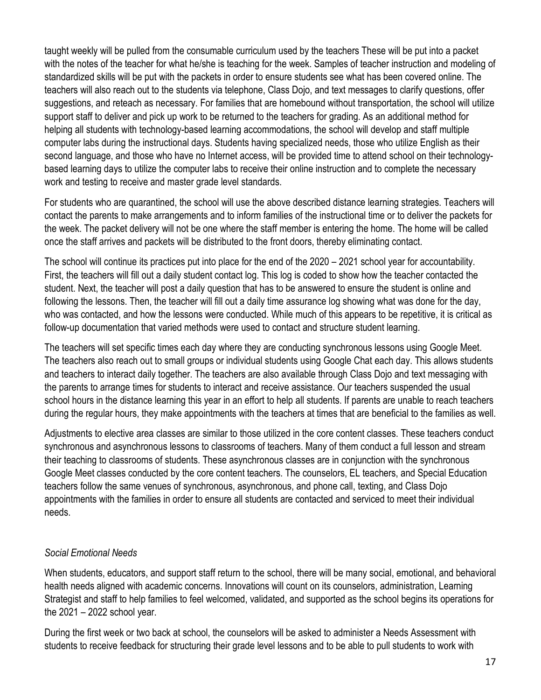taught weekly will be pulled from the consumable curriculum used by the teachers These will be put into a packet with the notes of the teacher for what he/she is teaching for the week. Samples of teacher instruction and modeling of standardized skills will be put with the packets in order to ensure students see what has been covered online. The teachers will also reach out to the students via telephone, Class Dojo, and text messages to clarify questions, offer suggestions, and reteach as necessary. For families that are homebound without transportation, the school will utilize support staff to deliver and pick up work to be returned to the teachers for grading. As an additional method for helping all students with technology-based learning accommodations, the school will develop and staff multiple computer labs during the instructional days. Students having specialized needs, those who utilize English as their second language, and those who have no Internet access, will be provided time to attend school on their technologybased learning days to utilize the computer labs to receive their online instruction and to complete the necessary work and testing to receive and master grade level standards.

For students who are quarantined, the school will use the above described distance learning strategies. Teachers will contact the parents to make arrangements and to inform families of the instructional time or to deliver the packets for the week. The packet delivery will not be one where the staff member is entering the home. The home will be called once the staff arrives and packets will be distributed to the front doors, thereby eliminating contact.

The school will continue its practices put into place for the end of the 2020 – 2021 school year for accountability. First, the teachers will fill out a daily student contact log. This log is coded to show how the teacher contacted the student. Next, the teacher will post a daily question that has to be answered to ensure the student is online and following the lessons. Then, the teacher will fill out a daily time assurance log showing what was done for the day, who was contacted, and how the lessons were conducted. While much of this appears to be repetitive, it is critical as follow-up documentation that varied methods were used to contact and structure student learning.

The teachers will set specific times each day where they are conducting synchronous lessons using Google Meet. The teachers also reach out to small groups or individual students using Google Chat each day. This allows students and teachers to interact daily together. The teachers are also available through Class Dojo and text messaging with the parents to arrange times for students to interact and receive assistance. Our teachers suspended the usual school hours in the distance learning this year in an effort to help all students. If parents are unable to reach teachers during the regular hours, they make appointments with the teachers at times that are beneficial to the families as well.

Adjustments to elective area classes are similar to those utilized in the core content classes. These teachers conduct synchronous and asynchronous lessons to classrooms of teachers. Many of them conduct a full lesson and stream their teaching to classrooms of students. These asynchronous classes are in conjunction with the synchronous Google Meet classes conducted by the core content teachers. The counselors, EL teachers, and Special Education teachers follow the same venues of synchronous, asynchronous, and phone call, texting, and Class Dojo appointments with the families in order to ensure all students are contacted and serviced to meet their individual needs.

### *Social Emotional Needs*

When students, educators, and support staff return to the school, there will be many social, emotional, and behavioral health needs aligned with academic concerns. Innovations will count on its counselors, administration, Learning Strategist and staff to help families to feel welcomed, validated, and supported as the school begins its operations for the 2021 – 2022 school year.

During the first week or two back at school, the counselors will be asked to administer a Needs Assessment with students to receive feedback for structuring their grade level lessons and to be able to pull students to work with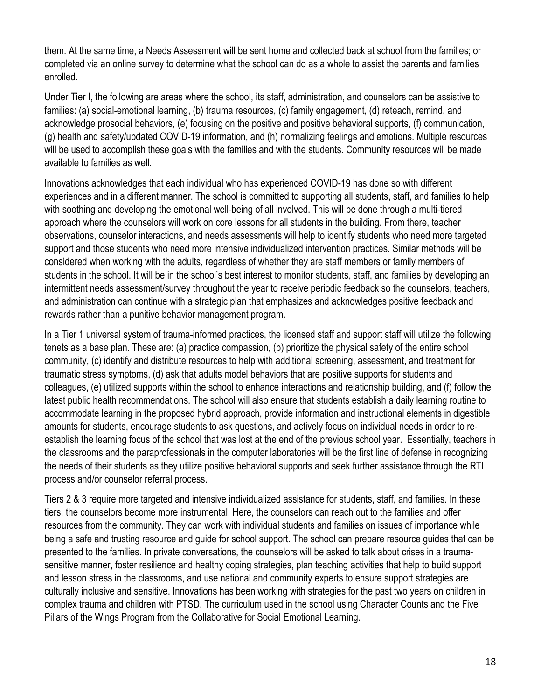them. At the same time, a Needs Assessment will be sent home and collected back at school from the families; or completed via an online survey to determine what the school can do as a whole to assist the parents and families enrolled.

Under Tier I, the following are areas where the school, its staff, administration, and counselors can be assistive to families: (a) social-emotional learning, (b) trauma resources, (c) family engagement, (d) reteach, remind, and acknowledge prosocial behaviors, (e) focusing on the positive and positive behavioral supports, (f) communication, (g) health and safety/updated COVID-19 information, and (h) normalizing feelings and emotions. Multiple resources will be used to accomplish these goals with the families and with the students. Community resources will be made available to families as well.

Innovations acknowledges that each individual who has experienced COVID-19 has done so with different experiences and in a different manner. The school is committed to supporting all students, staff, and families to help with soothing and developing the emotional well-being of all involved. This will be done through a multi-tiered approach where the counselors will work on core lessons for all students in the building. From there, teacher observations, counselor interactions, and needs assessments will help to identify students who need more targeted support and those students who need more intensive individualized intervention practices. Similar methods will be considered when working with the adults, regardless of whether they are staff members or family members of students in the school. It will be in the school's best interest to monitor students, staff, and families by developing an intermittent needs assessment/survey throughout the year to receive periodic feedback so the counselors, teachers, and administration can continue with a strategic plan that emphasizes and acknowledges positive feedback and rewards rather than a punitive behavior management program.

In a Tier 1 universal system of trauma-informed practices, the licensed staff and support staff will utilize the following tenets as a base plan. These are: (a) practice compassion, (b) prioritize the physical safety of the entire school community, (c) identify and distribute resources to help with additional screening, assessment, and treatment for traumatic stress symptoms, (d) ask that adults model behaviors that are positive supports for students and colleagues, (e) utilized supports within the school to enhance interactions and relationship building, and (f) follow the latest public health recommendations. The school will also ensure that students establish a daily learning routine to accommodate learning in the proposed hybrid approach, provide information and instructional elements in digestible amounts for students, encourage students to ask questions, and actively focus on individual needs in order to reestablish the learning focus of the school that was lost at the end of the previous school year. Essentially, teachers in the classrooms and the paraprofessionals in the computer laboratories will be the first line of defense in recognizing the needs of their students as they utilize positive behavioral supports and seek further assistance through the RTI process and/or counselor referral process.

Tiers 2 & 3 require more targeted and intensive individualized assistance for students, staff, and families. In these tiers, the counselors become more instrumental. Here, the counselors can reach out to the families and offer resources from the community. They can work with individual students and families on issues of importance while being a safe and trusting resource and guide for school support. The school can prepare resource guides that can be presented to the families. In private conversations, the counselors will be asked to talk about crises in a traumasensitive manner, foster resilience and healthy coping strategies, plan teaching activities that help to build support and lesson stress in the classrooms, and use national and community experts to ensure support strategies are culturally inclusive and sensitive. Innovations has been working with strategies for the past two years on children in complex trauma and children with PTSD. The curriculum used in the school using Character Counts and the Five Pillars of the Wings Program from the Collaborative for Social Emotional Learning.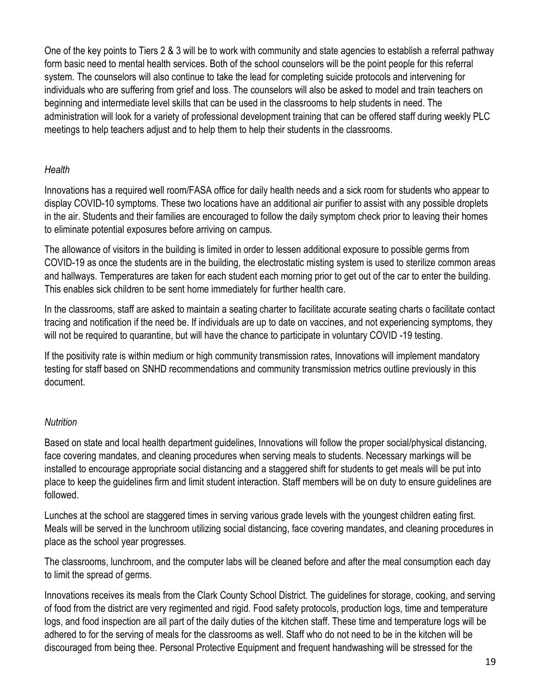One of the key points to Tiers 2 & 3 will be to work with community and state agencies to establish a referral pathway form basic need to mental health services. Both of the school counselors will be the point people for this referral system. The counselors will also continue to take the lead for completing suicide protocols and intervening for individuals who are suffering from grief and loss. The counselors will also be asked to model and train teachers on beginning and intermediate level skills that can be used in the classrooms to help students in need. The administration will look for a variety of professional development training that can be offered staff during weekly PLC meetings to help teachers adjust and to help them to help their students in the classrooms.

## *Health*

Innovations has a required well room/FASA office for daily health needs and a sick room for students who appear to display COVID-10 symptoms. These two locations have an additional air purifier to assist with any possible droplets in the air. Students and their families are encouraged to follow the daily symptom check prior to leaving their homes to eliminate potential exposures before arriving on campus.

The allowance of visitors in the building is limited in order to lessen additional exposure to possible germs from COVID-19 as once the students are in the building, the electrostatic misting system is used to sterilize common areas and hallways. Temperatures are taken for each student each morning prior to get out of the car to enter the building. This enables sick children to be sent home immediately for further health care.

In the classrooms, staff are asked to maintain a seating charter to facilitate accurate seating charts o facilitate contact tracing and notification if the need be. If individuals are up to date on vaccines, and not experiencing symptoms, they will not be required to quarantine, but will have the chance to participate in voluntary COVID -19 testing.

If the positivity rate is within medium or high community transmission rates, Innovations will implement mandatory testing for staff based on SNHD recommendations and community transmission metrics outline previously in this document.

## *Nutrition*

Based on state and local health department guidelines, Innovations will follow the proper social/physical distancing, face covering mandates, and cleaning procedures when serving meals to students. Necessary markings will be installed to encourage appropriate social distancing and a staggered shift for students to get meals will be put into place to keep the guidelines firm and limit student interaction. Staff members will be on duty to ensure guidelines are followed.

Lunches at the school are staggered times in serving various grade levels with the youngest children eating first. Meals will be served in the lunchroom utilizing social distancing, face covering mandates, and cleaning procedures in place as the school year progresses.

The classrooms, lunchroom, and the computer labs will be cleaned before and after the meal consumption each day to limit the spread of germs.

Innovations receives its meals from the Clark County School District. The guidelines for storage, cooking, and serving of food from the district are very regimented and rigid. Food safety protocols, production logs, time and temperature logs, and food inspection are all part of the daily duties of the kitchen staff. These time and temperature logs will be adhered to for the serving of meals for the classrooms as well. Staff who do not need to be in the kitchen will be discouraged from being thee. Personal Protective Equipment and frequent handwashing will be stressed for the